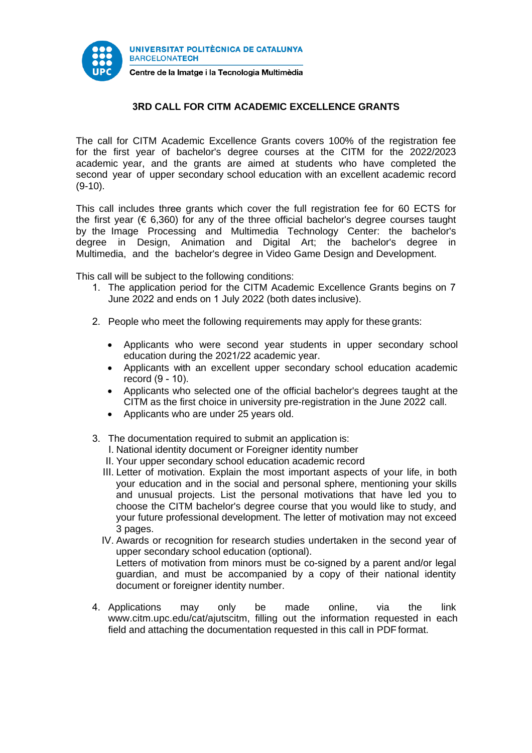

## **3RD CALL FOR CITM ACADEMIC EXCELLENCE GRANTS**

The call for CITM Academic Excellence Grants covers 100% of the registration fee for the first year of bachelor's degree courses at the CITM for the 2022/2023 academic year, and the grants are aimed at students who have completed the second year of upper secondary school education with an excellent academic record (9-10).

This call includes three grants which cover the full registration fee for 60 ECTS for the first year ( $\epsilon$  6,360) for any of the three official bachelor's degree courses taught by the Image Processing and Multimedia Technology Center: the bachelor's degree in Design, Animation and Digital Art; the bachelor's degree in Multimedia, and the bachelor's degree in Video Game Design and Development.

This call will be subject to the following conditions:

- 1. The application period for the CITM Academic Excellence Grants begins on 7 June 2022 and ends on 1 July 2022 (both dates inclusive).
- 2. People who meet the following requirements may apply for these grants:
	- Applicants who were second year students in upper secondary school education during the 2021/22 academic year.
	- Applicants with an excellent upper secondary school education academic record (9 - 10).
	- Applicants who selected one of the official bachelor's degrees taught at the CITM as the first choice in university pre-registration in the June 2022 call.
	- Applicants who are under 25 years old.
- 3. The documentation required to submit an application is:
	- I. National identity document or Foreigner identity number
	- II. Your upper secondary school education academic record
	- III. Letter of motivation. Explain the most important aspects of your life, in both your education and in the social and personal sphere, mentioning your skills and unusual projects. List the personal motivations that have led you to choose the CITM bachelor's degree course that you would like to study, and your future professional development. The letter of motivation may not exceed 3 pages.
	- IV. Awards or recognition for research studies undertaken in the second year of upper secondary school education (optional). Letters of motivation from minors must be co-signed by a parent and/or legal guardian, and must be accompanied by a copy of their national identity document or foreigner identity number.
- 4. Applications may only be made online, via the link [www.citm.upc.edu/cat/ajutscitm,](http://www.citm.upc.edu/cat/ajutscitm) filling out the information requested in each field and attaching the documentation requested in this call in PDF format.